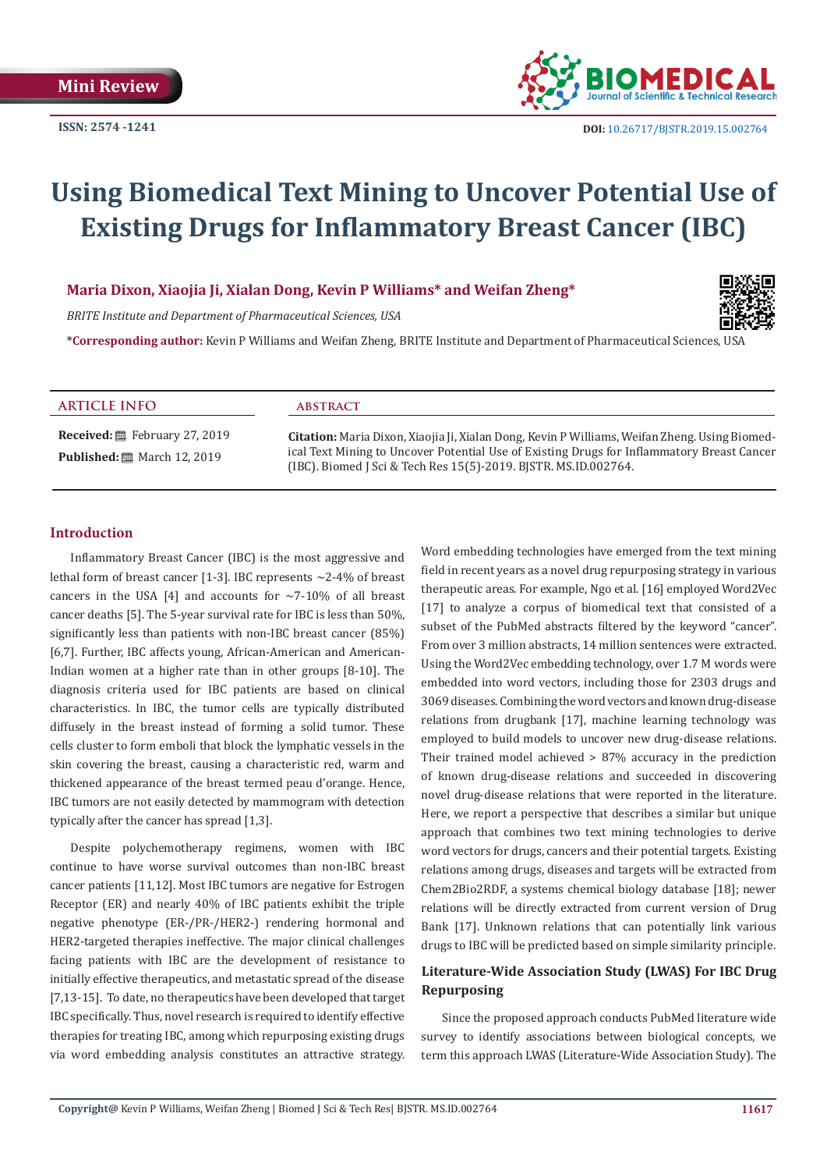

# **Using Biomedical Text Mining to Uncover Potential Use of Existing Drugs for Inflammatory Breast Cancer (IBC)**

# **Maria Dixon, Xiaojia Ji, Xialan Dong, Kevin P Williams\* and Weifan Zheng\***

*BRITE Institute and Department of Pharmaceutical Sciences, USA*

**\*Corresponding author:** Kevin P Williams and Weifan Zheng, BRITE Institute and Department of Pharmaceutical Sciences, USA

#### **ARTICLE INFO abstract**

**Received:** February 27, 2019 **Published:** ■ March 12, 2019

**Citation:** Maria Dixon, Xiaojia Ji, Xialan Dong, Kevin P Williams, Weifan Zheng. Using Biomedical Text Mining to Uncover Potential Use of Existing Drugs for Inflammatory Breast Cancer (IBC). Biomed J Sci & Tech Res 15(5)-2019. BJSTR. MS.ID.002764.

#### **Introduction**

Inflammatory Breast Cancer (IBC) is the most aggressive and lethal form of breast cancer [1-3]. IBC represents  $\sim$ 2-4% of breast cancers in the USA [4] and accounts for  $\sim$ 7-10% of all breast cancer deaths [5]. The 5-year survival rate for IBC is less than 50%, significantly less than patients with non-IBC breast cancer (85%) [6,7]. Further, IBC affects young, African-American and American-Indian women at a higher rate than in other groups [8-10]. The diagnosis criteria used for IBC patients are based on clinical characteristics. In IBC, the tumor cells are typically distributed diffusely in the breast instead of forming a solid tumor. These cells cluster to form emboli that block the lymphatic vessels in the skin covering the breast, causing a characteristic red, warm and thickened appearance of the breast termed peau d'orange. Hence, IBC tumors are not easily detected by mammogram with detection typically after the cancer has spread [1,3].

Despite polychemotherapy regimens, women with IBC continue to have worse survival outcomes than non-IBC breast cancer patients [11,12]. Most IBC tumors are negative for Estrogen Receptor (ER) and nearly 40% of IBC patients exhibit the triple negative phenotype (ER-/PR-/HER2-) rendering hormonal and HER2-targeted therapies ineffective. The major clinical challenges facing patients with IBC are the development of resistance to initially effective therapeutics, and metastatic spread of the disease [7,13-15]. To date, no therapeutics have been developed that target IBC specifically. Thus, novel research is required to identify effective therapies for treating IBC, among which repurposing existing drugs via word embedding analysis constitutes an attractive strategy.

Word embedding technologies have emerged from the text mining field in recent years as a novel drug repurposing strategy in various therapeutic areas. For example, Ngo et al. [16] employed Word2Vec [17] to analyze a corpus of biomedical text that consisted of a subset of the PubMed abstracts filtered by the keyword "cancer". From over 3 million abstracts, 14 million sentences were extracted. Using the Word2Vec embedding technology, over 1.7 M words were embedded into word vectors, including those for 2303 drugs and 3069 diseases. Combining the word vectors and known drug-disease relations from drugbank [17], machine learning technology was employed to build models to uncover new drug-disease relations. Their trained model achieved > 87% accuracy in the prediction of known drug-disease relations and succeeded in discovering novel drug-disease relations that were reported in the literature. Here, we report a perspective that describes a similar but unique approach that combines two text mining technologies to derive word vectors for drugs, cancers and their potential targets. Existing relations among drugs, diseases and targets will be extracted from Chem2Bio2RDF, a systems chemical biology database [18]; newer relations will be directly extracted from current version of Drug Bank [17]. Unknown relations that can potentially link various drugs to IBC will be predicted based on simple similarity principle.

# **Literature-Wide Association Study (LWAS) For IBC Drug Repurposing**

Since the proposed approach conducts PubMed literature wide survey to identify associations between biological concepts, we term this approach LWAS (Literature-Wide Association Study). The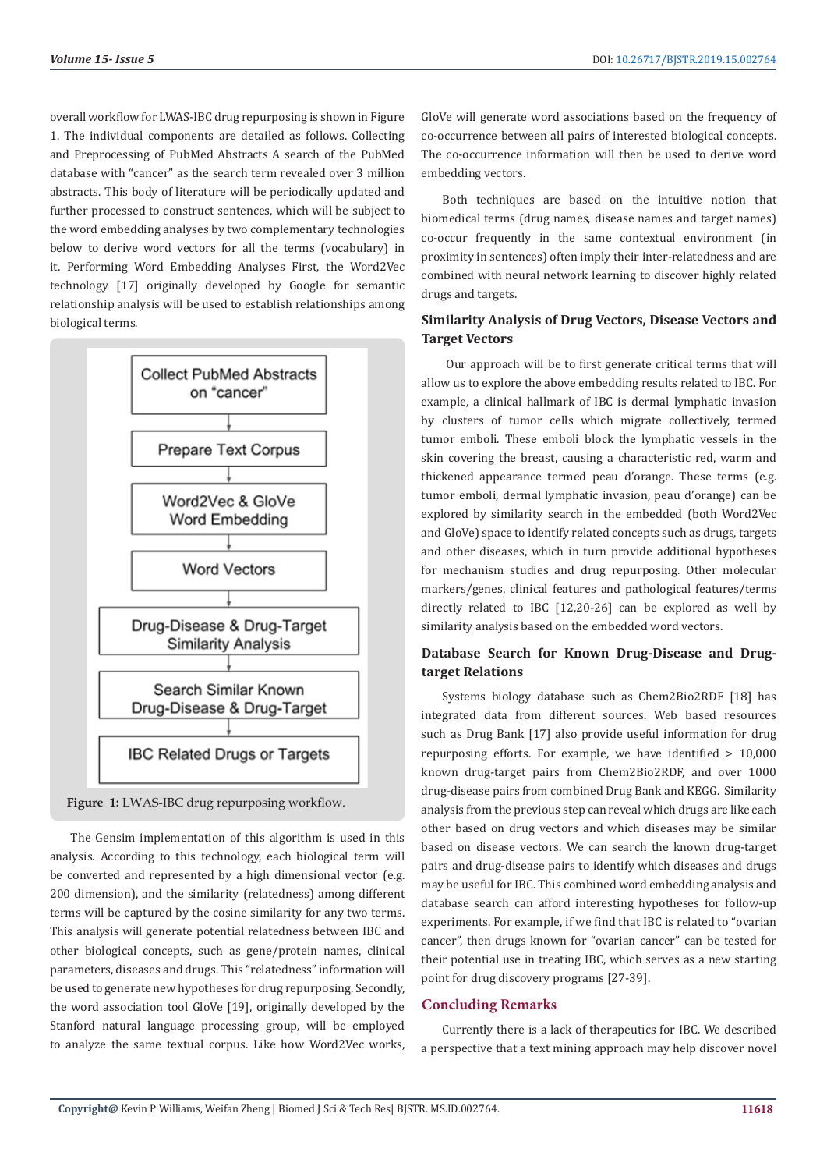overall workflow for LWAS-IBC drug repurposing is shown in Figure 1. The individual components are detailed as follows. Collecting and Preprocessing of PubMed Abstracts A search of the PubMed database with "cancer" as the search term revealed over 3 million abstracts. This body of literature will be periodically updated and further processed to construct sentences, which will be subject to the word embedding analyses by two complementary technologies below to derive word vectors for all the terms (vocabulary) in it. Performing Word Embedding Analyses First, the Word2Vec technology [17] originally developed by Google for semantic relationship analysis will be used to establish relationships among biological terms.





The Gensim implementation of this algorithm is used in this analysis. According to this technology, each biological term will be converted and represented by a high dimensional vector (e.g. 200 dimension), and the similarity (relatedness) among different terms will be captured by the cosine similarity for any two terms. This analysis will generate potential relatedness between IBC and other biological concepts, such as gene/protein names, clinical parameters, diseases and drugs. This "relatedness" information will be used to generate new hypotheses for drug repurposing. Secondly, the word association tool GloVe [19], originally developed by the Stanford natural language processing group, will be employed to analyze the same textual corpus. Like how Word2Vec works,

GloVe will generate word associations based on the frequency of co-occurrence between all pairs of interested biological concepts. The co-occurrence information will then be used to derive word embedding vectors.

Both techniques are based on the intuitive notion that biomedical terms (drug names, disease names and target names) co-occur frequently in the same contextual environment (in proximity in sentences) often imply their inter-relatedness and are combined with neural network learning to discover highly related drugs and targets.

# **Similarity Analysis of Drug Vectors, Disease Vectors and Target Vectors**

 Our approach will be to first generate critical terms that will allow us to explore the above embedding results related to IBC. For example, a clinical hallmark of IBC is dermal lymphatic invasion by clusters of tumor cells which migrate collectively, termed tumor emboli. These emboli block the lymphatic vessels in the skin covering the breast, causing a characteristic red, warm and thickened appearance termed peau d'orange. These terms (e.g. tumor emboli, dermal lymphatic invasion, peau d'orange) can be explored by similarity search in the embedded (both Word2Vec and GloVe) space to identify related concepts such as drugs, targets and other diseases, which in turn provide additional hypotheses for mechanism studies and drug repurposing. Other molecular markers/genes, clinical features and pathological features/terms directly related to IBC [12,20-26] can be explored as well by similarity analysis based on the embedded word vectors.

## **Database Search for Known Drug-Disease and Drugtarget Relations**

Systems biology database such as Chem2Bio2RDF [18] has integrated data from different sources. Web based resources such as Drug Bank [17] also provide useful information for drug repurposing efforts. For example, we have identified > 10,000 known drug-target pairs from Chem2Bio2RDF, and over 1000 drug-disease pairs from combined Drug Bank and KEGG. Similarity analysis from the previous step can reveal which drugs are like each other based on drug vectors and which diseases may be similar based on disease vectors. We can search the known drug-target pairs and drug-disease pairs to identify which diseases and drugs may be useful for IBC. This combined word embedding analysis and database search can afford interesting hypotheses for follow-up experiments. For example, if we find that IBC is related to "ovarian cancer", then drugs known for "ovarian cancer" can be tested for their potential use in treating IBC, which serves as a new starting point for drug discovery programs [27-39].

#### **Concluding Remarks**

Currently there is a lack of therapeutics for IBC. We described a perspective that a text mining approach may help discover novel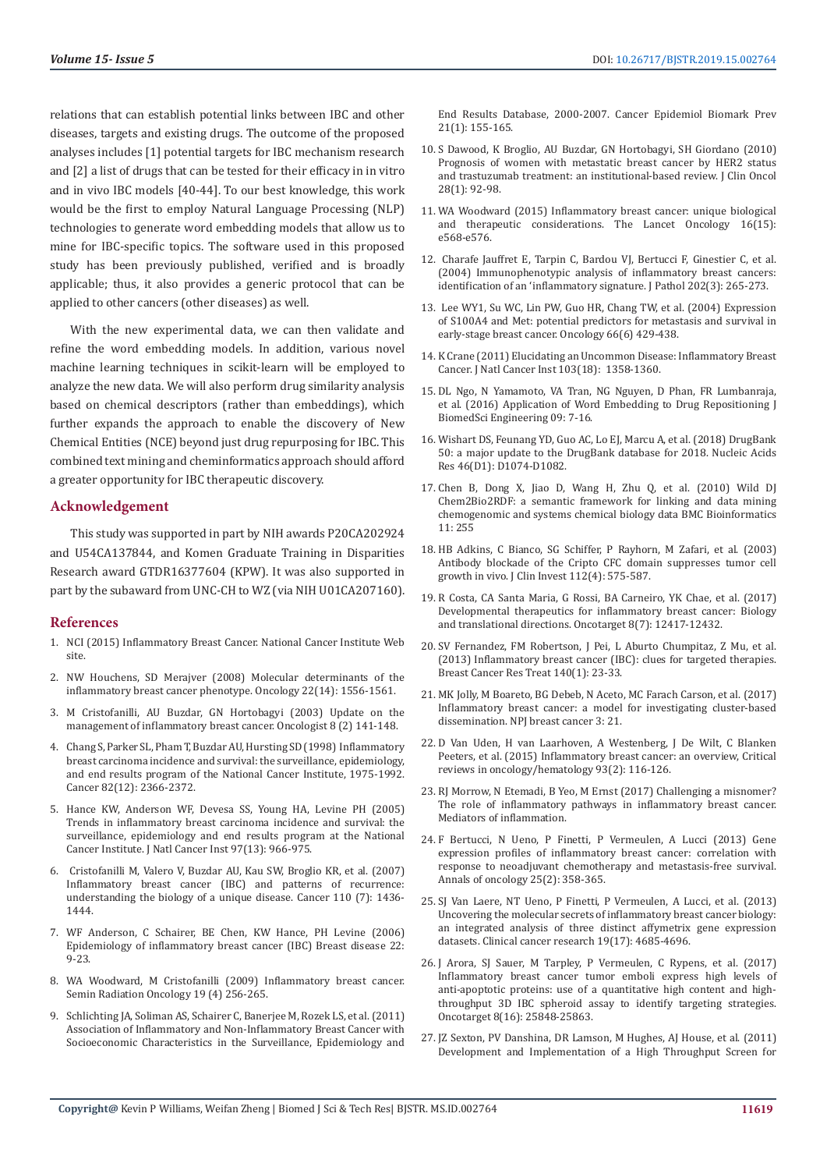relations that can establish potential links between IBC and other diseases, targets and existing drugs. The outcome of the proposed analyses includes [1] potential targets for IBC mechanism research and [2] a list of drugs that can be tested for their efficacy in in vitro and in vivo IBC models [40-44]. To our best knowledge, this work would be the first to employ Natural Language Processing (NLP) technologies to generate word embedding models that allow us to mine for IBC-specific topics. The software used in this proposed study has been previously published, verified and is broadly applicable; thus, it also provides a generic protocol that can be applied to other cancers (other diseases) as well.

With the new experimental data, we can then validate and refine the word embedding models. In addition, various novel machine learning techniques in scikit-learn will be employed to analyze the new data. We will also perform drug similarity analysis based on chemical descriptors (rather than embeddings), which further expands the approach to enable the discovery of New Chemical Entities (NCE) beyond just drug repurposing for IBC. This combined text mining and cheminformatics approach should afford a greater opportunity for IBC therapeutic discovery.

#### **Acknowledgement**

This study was supported in part by NIH awards P20CA202924 and U54CA137844, and Komen Graduate Training in Disparities Research award GTDR16377604 (KPW). It was also supported in part by the subaward from UNC-CH to WZ (via NIH U01CA207160).

### **References**

- 1. NCI (2015) Inflammatory Breast Cancer. National Cancer Institute Web site.
- 2. NW Houchens, SD Merajver (2008) Molecular determinants of the inflammatory breast cancer phenotype. Oncology 22(14): 1556-1561.
- 3. M Cristofanilli, AU Buzdar, GN Hortobagyi (2003) Update on the management of inflammatory breast cancer. Oncologist 8 (2) 141-148.
- 4. Chang S, Parker SL, Pham T, Buzdar AU, Hursting SD (1998) Inflammatory breast carcinoma incidence and survival: the surveillance, epidemiology, and end results program of the National Cancer Institute, 1975-1992. Cancer 82(12): 2366-2372.
- 5. Hance KW, Anderson WF, Devesa SS, Young HA, Levine PH (2005) Trends in inflammatory breast carcinoma incidence and survival: the surveillance, epidemiology and end results program at the National Cancer Institute. J Natl Cancer Inst 97(13): 966-975.
- 6. Cristofanilli M, Valero V, Buzdar AU, Kau SW, Broglio KR, et al. (2007) Inflammatory breast cancer (IBC) and patterns of recurrence: understanding the biology of a unique disease. Cancer 110 (7): 1436- 1444.
- 7. WF Anderson, C Schairer, BE Chen, KW Hance, PH Levine (2006) Epidemiology of inflammatory breast cancer (IBC) Breast disease 22: 9-23.
- 8. WA Woodward, M Cristofanilli (2009) Inflammatory breast cancer. Semin Radiation Oncology 19 (4) 256-265.
- 9. Schlichting JA, Soliman AS, Schairer C, Banerjee M, Rozek LS, et al. (2011) Association of Inflammatory and Non-Inflammatory Breast Cancer with Socioeconomic Characteristics in the Surveillance, Epidemiology and

End Results Database, 2000-2007. Cancer Epidemiol Biomark Prev 21(1): 155-165.

- 10. S Dawood, K Broglio, AU Buzdar, GN Hortobagyi, SH Giordano (2010) Prognosis of women with metastatic breast cancer by HER2 status and trastuzumab treatment: an institutional-based review. J Clin Oncol 28(1): 92-98.
- 11. WA Woodward (2015) Inflammatory breast cancer: unique biological and therapeutic considerations. The Lancet Oncology 16(15): e568-e576.
- 12. Charafe Jauffret E, Tarpin C, Bardou VJ, Bertucci F, Ginestier C, et al. (2004) Immunophenotypic analysis of inflammatory breast cancers: identification of an 'inflammatory signature. J Pathol 202(3): 265-273.
- 13. Lee WY1, Su WC, Lin PW, Guo HR, Chang TW, et al. (2004) Expression of S100A4 and Met: potential predictors for metastasis and survival in early-stage breast cancer. Oncology 66(6) 429-438.
- 14. K Crane (2011) Elucidating an Uncommon Disease: Inflammatory Breast Cancer. J Natl Cancer Inst 103(18): 1358-1360.
- 15. DL Ngo, N Yamamoto, VA Tran, NG Nguyen, D Phan, FR Lumbanraja, et al. (2016) Application of Word Embedding to Drug Repositioning J BiomedSci Engineering 09: 7-16.
- 16. Wishart DS, Feunang YD, Guo AC, Lo EJ, Marcu A, et al. (2018) DrugBank 50: a major update to the DrugBank database for 2018. Nucleic Acids Res 46(D1): D1074-D1082.
- 17. Chen B, Dong X, Jiao D, Wang H, Zhu Q, et al. (2010) Wild DJ Chem2Bio2RDF: a semantic framework for linking and data mining chemogenomic and systems chemical biology data BMC Bioinformatics 11: 255
- 18. HB Adkins, C Bianco, SG Schiffer, P Rayhorn, M Zafari, et al. (2003) Antibody blockade of the Cripto CFC domain suppresses tumor cell growth in vivo. J Clin Invest 112(4): 575-587.
- 19. R Costa, CA Santa Maria, G Rossi, BA Carneiro, YK Chae, et al. (2017) Developmental therapeutics for inflammatory breast cancer: Biology and translational directions. Oncotarget 8(7): 12417-12432.
- 20. SV Fernandez, FM Robertson, J Pei, L Aburto Chumpitaz, Z Mu, et al. (2013) Inflammatory breast cancer (IBC): clues for targeted therapies. Breast Cancer Res Treat 140(1): 23-33.
- 21. MK Jolly, M Boareto, BG Debeb, N Aceto, MC Farach Carson, et al. (2017) Inflammatory breast cancer: a model for investigating cluster-based dissemination. NPJ breast cancer 3: 21.
- 22. D Van Uden, H van Laarhoven, A Westenberg, J De Wilt, C Blanken Peeters, et al. (2015) Inflammatory breast cancer: an overview, Critical reviews in oncology/hematology 93(2): 116-126.
- 23. RJ Morrow, N Etemadi, B Yeo, M Ernst (2017) Challenging a misnomer? The role of inflammatory pathways in inflammatory breast cancer. Mediators of inflammation.
- 24. F Bertucci, N Ueno, P Finetti, P Vermeulen, A Lucci (2013) Gene expression profiles of inflammatory breast cancer: correlation with response to neoadjuvant chemotherapy and metastasis-free survival. Annals of oncology 25(2): 358-365.
- 25. SJ Van Laere, NT Ueno, P Finetti, P Vermeulen, A Lucci, et al. (2013) Uncovering the molecular secrets of inflammatory breast cancer biology: an integrated analysis of three distinct affymetrix gene expression datasets. Clinical cancer research 19(17): 4685-4696.
- 26. J Arora, SJ Sauer, M Tarpley, P Vermeulen, C Rypens, et al. (2017) Inflammatory breast cancer tumor emboli express high levels of anti-apoptotic proteins: use of a quantitative high content and highthroughput 3D IBC spheroid assay to identify targeting strategies. Oncotarget 8(16): 25848-25863.
- 27. JZ Sexton, PV Danshina, DR Lamson, M Hughes, AJ House, et al. (2011) Development and Implementation of a High Throughput Screen for